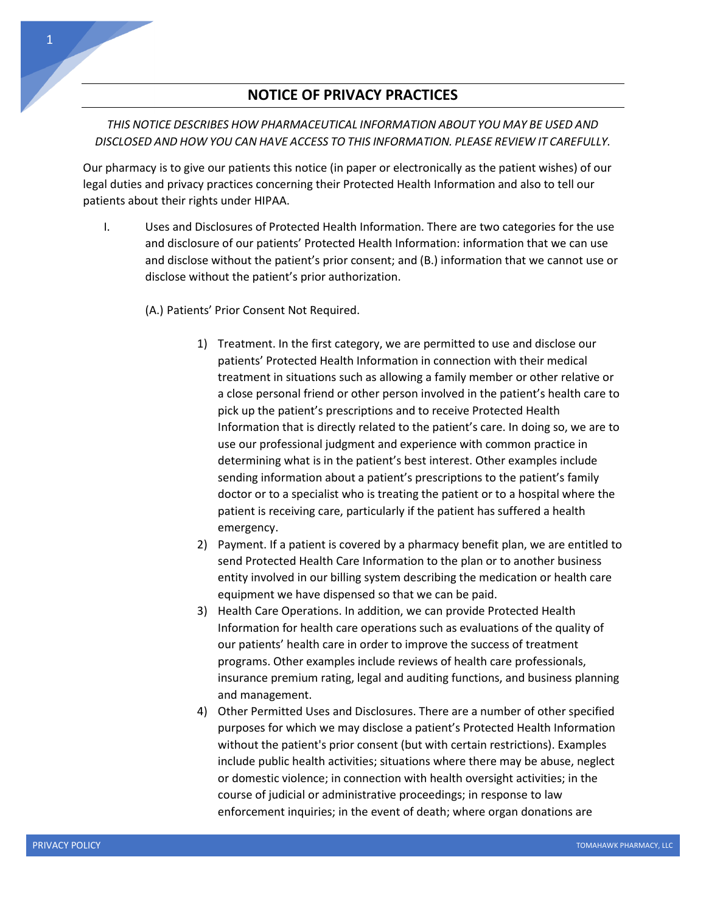## **NOTICE OF PRIVACY PRACTICES**

## *THIS NOTICE DESCRIBES HOW PHARMACEUTICAL INFORMATION ABOUT YOU MAY BE USED AND DISCLOSED AND HOW YOU CAN HAVE ACCESS TO THIS INFORMATION. PLEASE REVIEW IT CAREFULLY.*

Our pharmacy is to give our patients this notice (in paper or electronically as the patient wishes) of our legal duties and privacy practices concerning their Protected Health Information and also to tell our patients about their rights under HIPAA.

I. Uses and Disclosures of Protected Health Information. There are two categories for the use and disclosure of our patients' Protected Health Information: information that we can use and disclose without the patient's prior consent; and (B.) information that we cannot use or disclose without the patient's prior authorization.

## (A.) Patients' Prior Consent Not Required.

- 1) Treatment. In the first category, we are permitted to use and disclose our patients' Protected Health Information in connection with their medical treatment in situations such as allowing a family member or other relative or a close personal friend or other person involved in the patient's health care to pick up the patient's prescriptions and to receive Protected Health Information that is directly related to the patient's care. In doing so, we are to use our professional judgment and experience with common practice in determining what is in the patient's best interest. Other examples include sending information about a patient's prescriptions to the patient's family doctor or to a specialist who is treating the patient or to a hospital where the patient is receiving care, particularly if the patient has suffered a health emergency.
- 2) Payment. If a patient is covered by a pharmacy benefit plan, we are entitled to send Protected Health Care Information to the plan or to another business entity involved in our billing system describing the medication or health care equipment we have dispensed so that we can be paid.
- 3) Health Care Operations. In addition, we can provide Protected Health Information for health care operations such as evaluations of the quality of our patients' health care in order to improve the success of treatment programs. Other examples include reviews of health care professionals, insurance premium rating, legal and auditing functions, and business planning and management.
- 4) Other Permitted Uses and Disclosures. There are a number of other specified purposes for which we may disclose a patient's Protected Health Information without the patient's prior consent (but with certain restrictions). Examples include public health activities; situations where there may be abuse, neglect or domestic violence; in connection with health oversight activities; in the course of judicial or administrative proceedings; in response to law enforcement inquiries; in the event of death; where organ donations are

1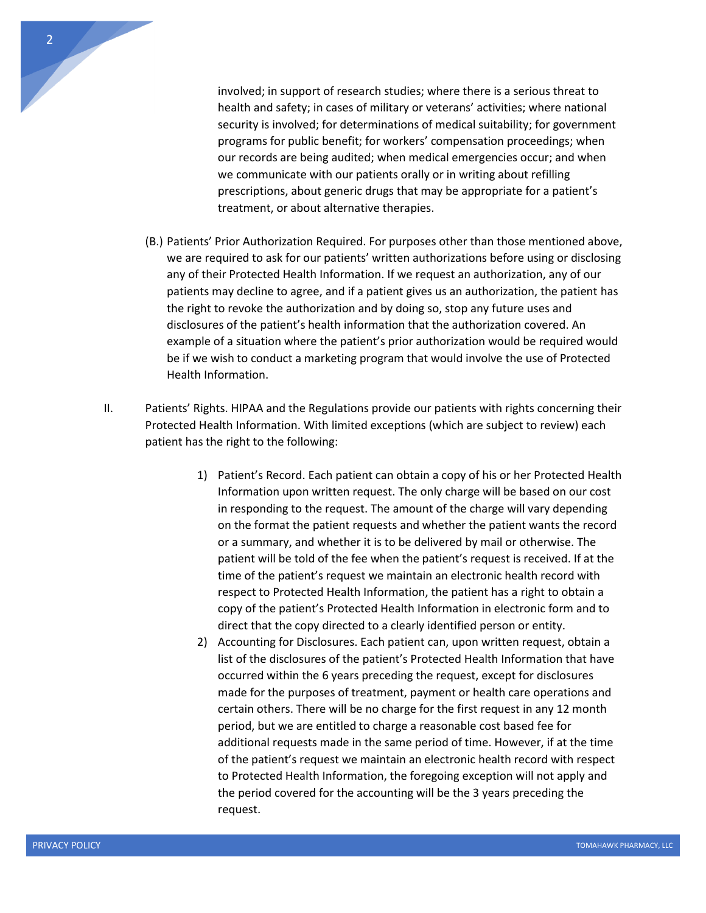

involved; in support of research studies; where there is a serious threat to health and safety; in cases of military or veterans' activities; where national security is involved; for determinations of medical suitability; for government programs for public benefit; for workers' compensation proceedings; when our records are being audited; when medical emergencies occur; and when we communicate with our patients orally or in writing about refilling prescriptions, about generic drugs that may be appropriate for a patient's treatment, or about alternative therapies.

- (B.) Patients' Prior Authorization Required. For purposes other than those mentioned above, we are required to ask for our patients' written authorizations before using or disclosing any of their Protected Health Information. If we request an authorization, any of our patients may decline to agree, and if a patient gives us an authorization, the patient has the right to revoke the authorization and by doing so, stop any future uses and disclosures of the patient's health information that the authorization covered. An example of a situation where the patient's prior authorization would be required would be if we wish to conduct a marketing program that would involve the use of Protected Health Information.
- II. Patients' Rights. HIPAA and the Regulations provide our patients with rights concerning their Protected Health Information. With limited exceptions (which are subject to review) each patient has the right to the following:
	- 1) Patient's Record. Each patient can obtain a copy of his or her Protected Health Information upon written request. The only charge will be based on our cost in responding to the request. The amount of the charge will vary depending on the format the patient requests and whether the patient wants the record or a summary, and whether it is to be delivered by mail or otherwise. The patient will be told of the fee when the patient's request is received. If at the time of the patient's request we maintain an electronic health record with respect to Protected Health Information, the patient has a right to obtain a copy of the patient's Protected Health Information in electronic form and to direct that the copy directed to a clearly identified person or entity.
	- 2) Accounting for Disclosures. Each patient can, upon written request, obtain a list of the disclosures of the patient's Protected Health Information that have occurred within the 6 years preceding the request, except for disclosures made for the purposes of treatment, payment or health care operations and certain others. There will be no charge for the first request in any 12 month period, but we are entitled to charge a reasonable cost based fee for additional requests made in the same period of time. However, if at the time of the patient's request we maintain an electronic health record with respect to Protected Health Information, the foregoing exception will not apply and the period covered for the accounting will be the 3 years preceding the request.